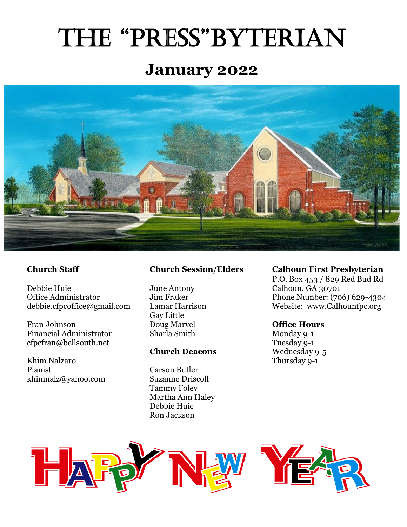# The "Press"byTerian

# **January 2022**



Debbie Huie June Antony Calhoun, GA 30701

Fran Johnson **Doug Marvel Office Hours** Financial Administrator Sharla Smith Monday 9-1<br>
<u>cfpcfran@bellsouth.net</u> Tuesday 9-1

Khim Nalzaro Thursday 9-1 Pianist Carson Butler [khimnalz@yahoo.com](mailto:khimnalz@yahoo.com) Suzanne Driscoll

Gay Little

#### **Church Deacons**

Tammy Foley Martha Ann Haley Debbie Huie Ron Jackson

#### **Church Staff Church Session/Elders Calhoun First Presbyterian**

P.O. Box 453 / 829 Red Bud Rd Office Administrator *Jim Fraker Jim Fraker* Phone Number: (706) 629-4304<br>debbie.cfpcoffice@gmail.com Lamar Harrison Website: www.Calhounfpc.org Lamar Harrison Website: [www.Calhounfpc.org](http://www.calhounfpc.org/)

[cfpcfran@bellsouth.net](mailto:cfpcfran@bellsouth.net)<br> **Church Deacons** Tuesday 9-1<br> **Church Deacons** Wednesday 9-5



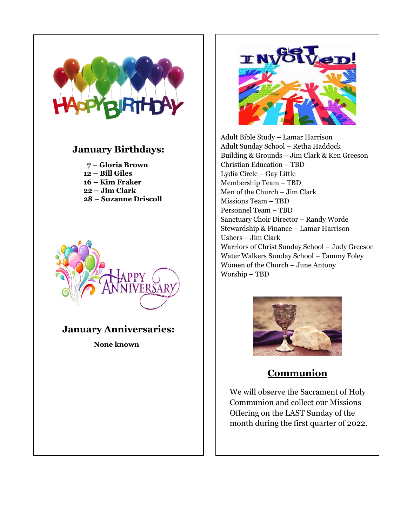

#### **January Birthdays:**

- **7 – Gloria Brown**
- **12 – Bill Giles**
- **16 – Kim Fraker**
- **22 – Jim Clark**
- **28 – Suzanne Driscoll**



# **January Anniversaries:**

 **None known**



Adult Bible Study – Lamar Harrison Adult Sunday School – Retha Haddock Building & Grounds – Jim Clark & Ken Greeson Christian Education – TBD Lydia Circle – Gay Little Membership Team – TBD Men of the Church – Jim Clark Missions Team – TBD Personnel Team – TBD Sanctuary Choir Director – Randy Worde Stewardship & Finance – Lamar Harrison Ushers – Jim Clark Warriors of Christ Sunday School – Judy Greeson Water Walkers Sunday School – Tammy Foley Women of the Church – June Antony Worship – TBD



# **Communion**

We will observe the Sacrament of Holy Communion and collect our Missions Offering on the LAST Sunday of the month during the first quarter of 2022.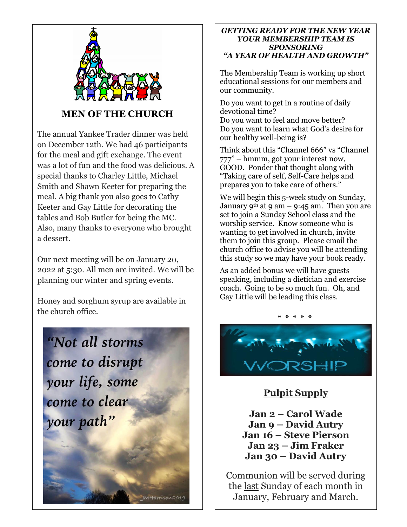

### **MEN OF THE CHURCH**

The annual Yankee Trader dinner was held on December 12th. We had 46 participants for the meal and gift exchange. The event was a lot of fun and the food was delicious. A special thanks to Charley Little, Michael Smith and Shawn Keeter for preparing the meal. A big thank you also goes to Cathy Keeter and Gay Little for decorating the tables and Bob Butler for being the MC. Also, many thanks to everyone who brought a dessert.

Our next meeting will be on January 20, 2022 at 5:30. All men are invited. We will be planning our winter and spring events.

Honey and sorghum syrup are available in the church office.



#### **IMHarrison2019**

#### *GETTING READY FOR THE NEW YEAR YOUR MEMBERSHIP TEAM IS SPONSORING "A YEAR OF HEALTH AND GROWTH"*

The Membership Team is working up short educational sessions for our members and our community.

Do you want to get in a routine of daily devotional time? Do you want to feel and move better? Do you want to learn what God's desire for our healthy well-being is?

Think about this "Channel 666" vs "Channel 777" – hmmm, got your interest now, GOOD. Ponder that thought along with "Taking care of self, Self-Care helps and prepares you to take care of others."

We will begin this 5-week study on Sunday, January 9<sup>th</sup> at 9 am – 9:45 am. Then you are set to join a Sunday School class and the worship service. Know someone who is wanting to get involved in church, invite them to join this group. Please email the church office to advise you will be attending this study so we may have your book ready.

As an added bonus we will have guests speaking, including a dietician and exercise coach. Going to be so much fun. Oh, and Gay Little will be leading this class.

\* \* \* \* \*

### **Pulpit Supply**

**Jan 2 – Carol Wade Jan 9 – David Autry Jan 16 – Steve Pierson Jan 23 – Jim Fraker Jan 30 – David Autry**

Communion will be served during the last Sunday of each month in January, February and March.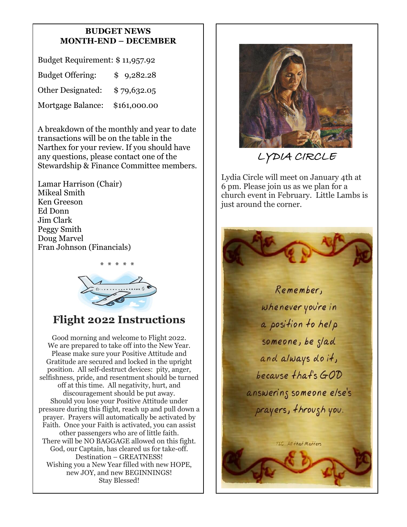#### **BUDGET NEWS MONTH-END – DECEMBER**

Budget Requirement: \$ 11,957.92 Budget Offering: \$ 9,282.28 Other Designated: \$ 79,632.05 Mortgage Balance: \$161,000.00

A breakdown of the monthly and year to date transactions will be on the table in the Narthex for your review. If you should have any questions, please contact one of the Stewardship & Finance Committee members.

Lamar Harrison (Chair) Mikeal Smith Ken Greeson Ed Donn Jim Clark Peggy Smith Doug Marvel Fran Johnson (Financials)



# **Flight 2022 Instructions**

Good morning and welcome to Flight 2022. We are prepared to take off into the New Year. Please make sure your Positive Attitude and Gratitude are secured and locked in the upright position. All self-destruct devices: pity, anger, selfishness, pride, and resentment should be turned off at this time. All negativity, hurt, and discouragement should be put away. Should you lose your Positive Attitude under pressure during this flight, reach up and pull down a prayer. Prayers will automatically be activated by Faith. Once your Faith is activated, you can assist other passengers who are of little faith. There will be NO BAGGAGE allowed on this fight. God, our Captain, has cleared us for take-off. Destination – GREATNESS! Wishing you a New Year filled with new HOPE, new JOY, and new BEGINNINGS! Stay Blessed!



LYDIA CIRCLE

Lydia Circle will meet on January 4th at 6 pm. Please join us as we plan for a church event in February. Little Lambs is just around the corner.

> Remember, whenever you're in a position to help someone, be slad and always do it, because that's GOD answering someone else's prayers, through you.

> > TLC. All that Matters